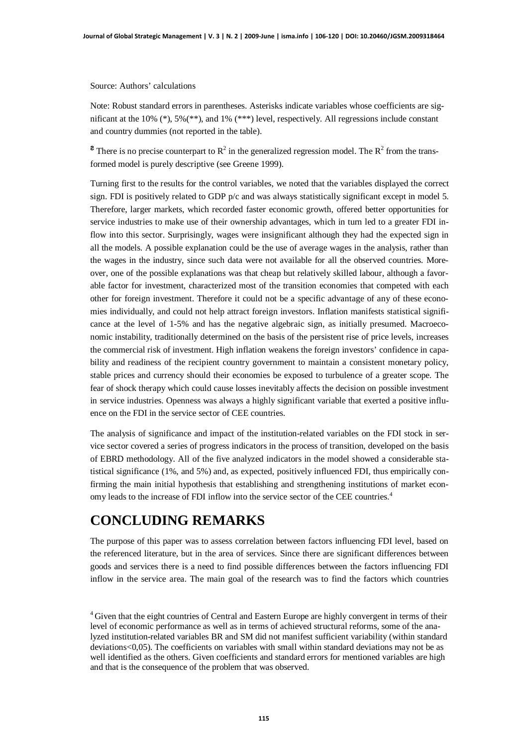Source: Authors' calculations

Note: Robust standard errors in parentheses. Asterisks indicate variables whose coefficients are significant at the 10% (\*), 5%(\*\*), and 1% (\*\*\*) level, respectively. All regressions include constant and country dummies (not reported in the table).

<sup>2</sup> There is no precise counterpart to  $R^2$  in the generalized regression model. The  $R^2$  from the transformed model is purely descriptive (see Greene 1999).

Turning first to the results for the control variables, we noted that the variables displayed the correct sign. FDI is positively related to GDP p/c and was always statistically significant except in model 5. Therefore, larger markets, which recorded faster economic growth, offered better opportunities for service industries to make use of their ownership advantages, which in turn led to a greater FDI inflow into this sector. Surprisingly, wages were insignificant although they had the expected sign in all the models. A possible explanation could be the use of average wages in the analysis, rather than the wages in the industry, since such data were not available for all the observed countries. Moreover, one of the possible explanations was that cheap but relatively skilled labour, although a favorable factor for investment, characterized most of the transition economies that competed with each other for foreign investment. Therefore it could not be a specific advantage of any of these economies individually, and could not help attract foreign investors. Inflation manifests statistical significance at the level of 1-5% and has the negative algebraic sign, as initially presumed. Macroeconomic instability, traditionally determined on the basis of the persistent rise of price levels, increases the commercial risk of investment. High inflation weakens the foreign investors' confidence in capability and readiness of the recipient country government to maintain a consistent monetary policy, stable prices and currency should their economies be exposed to turbulence of a greater scope. The fear of shock therapy which could cause losses inevitably affects the decision on possible investment in service industries. Openness was always a highly significant variable that exerted a positive influence on the FDI in the service sector of CEE countries.

The analysis of significance and impact of the institution-related variables on the FDI stock in service sector covered a series of progress indicators in the process of transition, developed on the basis of EBRD methodology. All of the five analyzed indicators in the model showed a considerable statistical significance (1%, and 5%) and, as expected, positively influenced FDI, thus empirically confirming the main initial hypothesis that establishing and strengthening institutions of market economy leads to the increase of FDI inflow into the service sector of the CEE countries.<sup>4</sup>

## **CONCLUDING REMARKS**

The purpose of this paper was to assess correlation between factors influencing FDI level, based on the referenced literature, but in the area of services. Since there are significant differences between goods and services there is a need to find possible differences between the factors influencing FDI inflow in the service area. The main goal of the research was to find the factors which countries

<sup>&</sup>lt;sup>4</sup> Given that the eight countries of Central and Eastern Europe are highly convergent in terms of their level of economic performance as well as in terms of achieved structural reforms, some of the analyzed institution-related variables BR and SM did not manifest sufficient variability (within standard deviations<0,05). The coefficients on variables with small within standard deviations may not be as well identified as the others. Given coefficients and standard errors for mentioned variables are high and that is the consequence of the problem that was observed.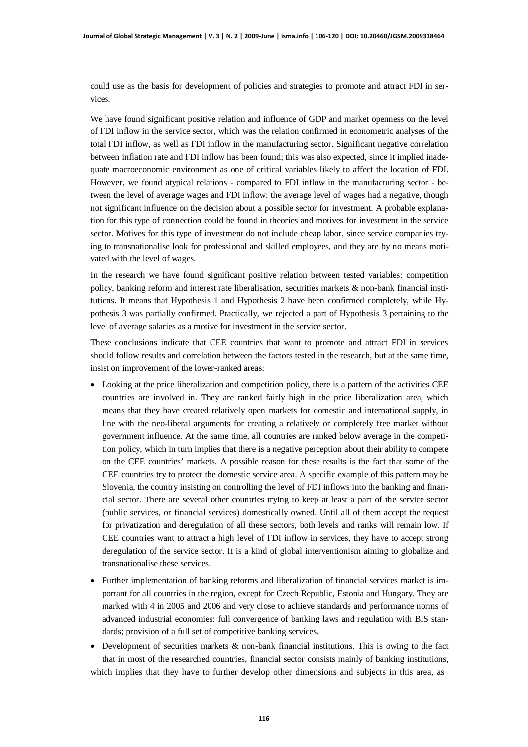could use as the basis for development of policies and strategies to promote and attract FDI in services.

We have found significant positive relation and influence of GDP and market openness on the level of FDI inflow in the service sector, which was the relation confirmed in econometric analyses of the total FDI inflow, as well as FDI inflow in the manufacturing sector. Significant negative correlation between inflation rate and FDI inflow has been found; this was also expected, since it implied inadequate macroeconomic environment as one of critical variables likely to affect the location of FDI. However, we found atypical relations - compared to FDI inflow in the manufacturing sector - between the level of average wages and FDI inflow: the average level of wages had a negative, though not significant influence on the decision about a possible sector for investment. A probable explanation for this type of connection could be found in theories and motives for investment in the service sector. Motives for this type of investment do not include cheap labor, since service companies trying to transnationalise look for professional and skilled employees, and they are by no means motivated with the level of wages.

In the research we have found significant positive relation between tested variables: competition policy, banking reform and interest rate liberalisation, securities markets & non-bank financial institutions. It means that Hypothesis 1 and Hypothesis 2 have been confirmed completely, while Hypothesis 3 was partially confirmed. Practically, we rejected a part of Hypothesis 3 pertaining to the level of average salaries as a motive for investment in the service sector.

These conclusions indicate that CEE countries that want to promote and attract FDI in services should follow results and correlation between the factors tested in the research, but at the same time, insist on improvement of the lower-ranked areas:

- Looking at the price liberalization and competition policy, there is a pattern of the activities CEE countries are involved in. They are ranked fairly high in the price liberalization area, which means that they have created relatively open markets for domestic and international supply, in line with the neo-liberal arguments for creating a relatively or completely free market without government influence. At the same time, all countries are ranked below average in the competition policy, which in turn implies that there is a negative perception about their ability to compete on the CEE countries' markets. A possible reason for these results is the fact that some of the CEE countries try to protect the domestic service area. A specific example of this pattern may be Slovenia, the country insisting on controlling the level of FDI inflows into the banking and financial sector. There are several other countries trying to keep at least a part of the service sector (public services, or financial services) domestically owned. Until all of them accept the request for privatization and deregulation of all these sectors, both levels and ranks will remain low. If CEE countries want to attract a high level of FDI inflow in services, they have to accept strong deregulation of the service sector. It is a kind of global interventionism aiming to globalize and transnationalise these services.
- Further implementation of banking reforms and liberalization of financial services market is important for all countries in the region, except for Czech Republic, Estonia and Hungary. They are marked with 4 in 2005 and 2006 and very close to achieve standards and performance norms of advanced industrial economies: full convergence of banking laws and regulation with BIS standards; provision of a full set of competitive banking services.
- Development of securities markets  $\&$  non-bank financial institutions. This is owing to the fact that in most of the researched countries, financial sector consists mainly of banking institutions, which implies that they have to further develop other dimensions and subjects in this area, as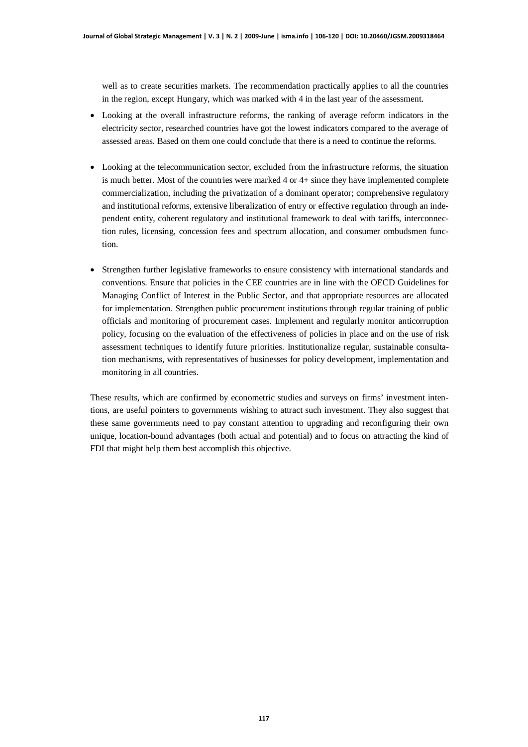well as to create securities markets. The recommendation practically applies to all the countries in the region, except Hungary, which was marked with 4 in the last year of the assessment.

- Looking at the overall infrastructure reforms, the ranking of average reform indicators in the electricity sector, researched countries have got the lowest indicators compared to the average of assessed areas. Based on them one could conclude that there is a need to continue the reforms.
- Looking at the telecommunication sector, excluded from the infrastructure reforms, the situation is much better. Most of the countries were marked  $4$  or  $4$  + since they have implemented complete commercialization, including the privatization of a dominant operator; comprehensive regulatory and institutional reforms, extensive liberalization of entry or effective regulation through an independent entity, coherent regulatory and institutional framework to deal with tariffs, interconnection rules, licensing, concession fees and spectrum allocation, and consumer ombudsmen function.
- Strengthen further legislative frameworks to ensure consistency with international standards and conventions. Ensure that policies in the CEE countries are in line with the OECD Guidelines for Managing Conflict of Interest in the Public Sector, and that appropriate resources are allocated for implementation. Strengthen public procurement institutions through regular training of public officials and monitoring of procurement cases. Implement and regularly monitor anticorruption policy, focusing on the evaluation of the effectiveness of policies in place and on the use of risk assessment techniques to identify future priorities. Institutionalize regular, sustainable consultation mechanisms, with representatives of businesses for policy development, implementation and monitoring in all countries.

These results, which are confirmed by econometric studies and surveys on firms' investment intentions, are useful pointers to governments wishing to attract such investment. They also suggest that these same governments need to pay constant attention to upgrading and reconfiguring their own unique, location-bound advantages (both actual and potential) and to focus on attracting the kind of FDI that might help them best accomplish this objective.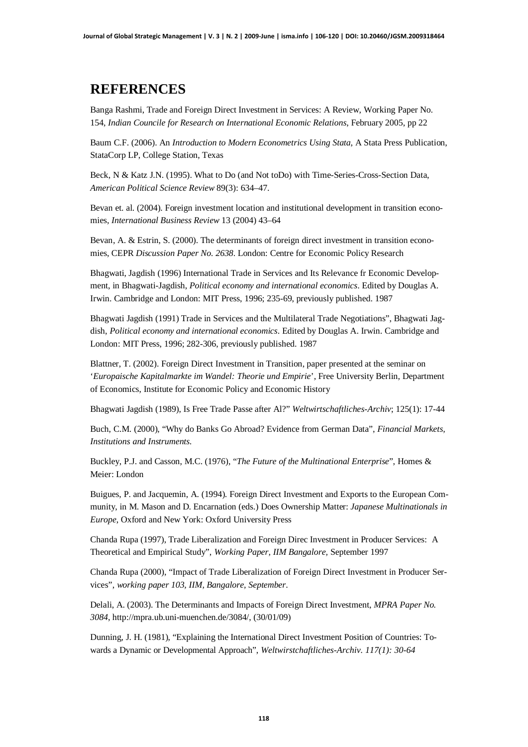## **REFERENCES**

Banga Rashmi, Trade and Foreign Direct Investment in Services: A Review, Working Paper No. 154, *Indian Councile for Research on International Economic Relations*, February 2005, pp 22

Baum C.F. (2006). An *Introduction to Modern Econometrics Using Stata*, A Stata Press Publication, StataCorp LP, College Station, Texas

Beck, N & Katz J.N. (1995). What to Do (and Not toDo) with Time-Series-Cross-Section Data, *American Political Science Review* 89(3): 634–47.

Bevan et. al. (2004). Foreign investment location and institutional development in transition economies, *International Business Review* 13 (2004) 43–64

Bevan, A. & Estrin, S. (2000). The determinants of foreign direct investment in transition economies, CEPR *Discussion Paper No. 2638*. London: Centre for Economic Policy Research

Bhagwati, Jagdish (1996) International Trade in Services and Its Relevance fr Economic Development, in Bhagwati-Jagdish, *Political economy and international economics*. Edited by Douglas A. Irwin. Cambridge and London: MIT Press, 1996; 235-69, previously published. 1987

Bhagwati Jagdish (1991) Trade in Services and the Multilateral Trade Negotiations", Bhagwati Jagdish, *Political economy and international economics*. Edited by Douglas A. Irwin. Cambridge and London: MIT Press, 1996; 282-306, previously published. 1987

Blattner, T. (2002). Foreign Direct Investment in Transition, paper presented at the seminar on '*Europaische Kapitalmarkte im Wandel: Theorie und Empirie*', Free University Berlin, Department of Economics, Institute for Economic Policy and Economic History

Bhagwati Jagdish (1989), Is Free Trade Passe after Al?" *Weltwirtschaftliches-Archiv*; 125(1): 17-44

Buch, C.M. (2000), "Why do Banks Go Abroad? Evidence from German Data", *Financial Markets, Institutions and Instruments.*

Buckley, P.J. and Casson, M.C. (1976), "*The Future of the Multinational Enterprise*", Homes & Meier: London

Buigues, P. and Jacquemin, A. (1994). Foreign Direct Investment and Exports to the European Community, in M. Mason and D. Encarnation (eds.) Does Ownership Matter: *Japanese Multinationals in Europe*, Oxford and New York: Oxford University Press

Chanda Rupa (1997), Trade Liberalization and Foreign Direc Investment in Producer Services: A Theoretical and Empirical Study", *Working Paper, IIM Bangalore,* September 1997

Chanda Rupa (2000), "Impact of Trade Liberalization of Foreign Direct Investment in Producer Services", *working paper 103, IIM, Bangalore, September*.

Delali, A. (2003). The Determinants and Impacts of Foreign Direct Investment, *MPRA Paper No. 3084*, [http://mpra.ub.uni-muenchen.de/3084/,](http://mpra.ub.uni-muenchen.de/3084/) (30/01/09)

Dunning, J. H. (1981), "Explaining the International Direct Investment Position of Countries: Towards a Dynamic or Developmental Approach", *Weltwirstchaftliches-Archiv. 117(1): 30-64*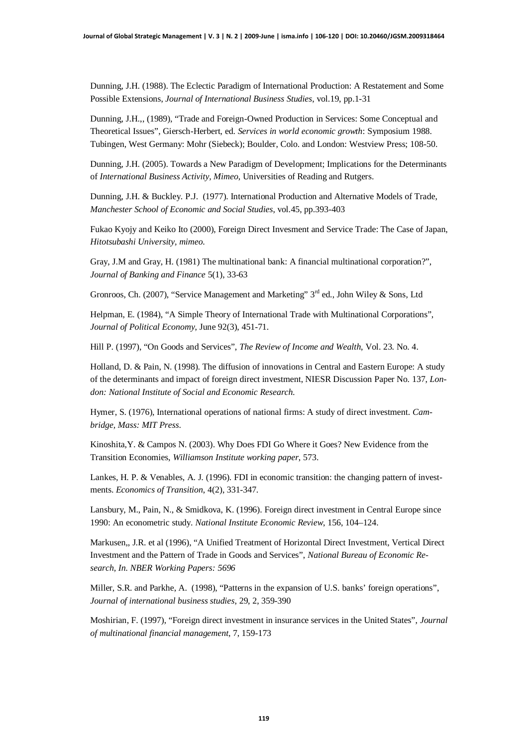Dunning, J.H. (1988). The Eclectic Paradigm of International Production: A Restatement and Some Possible Extensions, *Journal of International Business Studies*, vol.19, pp.1-31

Dunning, J.H.,, (1989), "Trade and Foreign-Owned Production in Services: Some Conceptual and Theoretical Issues", Giersch-Herbert, ed. *Services in world economic growth*: Symposium 1988. Tubingen, West Germany: Mohr (Siebeck); Boulder, Colo. and London: Westview Press; 108-50.

Dunning, J.H. (2005). Towards a New Paradigm of Development; Implications for the Determinants of *International Business Activity, Mimeo*, Universities of Reading and Rutgers.

Dunning, J.H. & Buckley. P.J. (1977). International Production and Alternative Models of Trade, *Manchester School of Economic and Social Studies*, vol.45, pp.393-403

Fukao Kyojy and Keiko Ito (2000), Foreign Direct Invesment and Service Trade: The Case of Japan, *Hitotsubashi University, mimeo*.

Gray, J.M and Gray, H. (1981) The multinational bank: A financial multinational corporation?", *Journal of Banking and Finance* 5(1), 33-63

Gronroos, Ch. (2007), "Service Management and Marketing"  $3<sup>rd</sup>$  ed., John Wiley & Sons, Ltd

Helpman, E. (1984), "A Simple Theory of International Trade with Multinational Corporations", *Journal of Political Economy*, June 92(3), 451-71.

Hill P. (1997), "On Goods and Services", *The Review of Income and Wealth*, Vol. 23. No. 4.

Holland, D. & Pain, N. (1998). The diffusion of innovations in Central and Eastern Europe: A study of the determinants and impact of foreign direct investment, NIESR Discussion Paper No. 137, *London: National Institute of Social and Economic Research.*

Hymer, S. (1976), International operations of national firms: A study of direct investment. *Cambridge, Mass: MIT Press*.

Kinoshita,Y. & Campos N. (2003). Why Does FDI Go Where it Goes? New Evidence from the Transition Economies, *Williamson Institute working paper*, 573.

Lankes, H. P. & Venables, A. J. (1996). FDI in economic transition: the changing pattern of investments. *Economics of Transition*, 4(2), 331-347.

Lansbury, M., Pain, N., & Smidkova, K. (1996). Foreign direct investment in Central Europe since 1990: An econometric study. *National Institute Economic Review*, 156, 104–124.

Markusen,, J.R. et al (1996), "A Unified Treatment of Horizontal Direct Investment, Vertical Direct Investment and the Pattern of Trade in Goods and Services", *National Bureau of Economic Research, In. NBER Working Papers: 5696*

Miller, S.R. and Parkhe, A. (1998), "Patterns in the expansion of U.S. banks' foreign operations", *Journal of international business studies*, 29, 2, 359-390

Moshirian, F. (1997), "Foreign direct investment in insurance services in the United States", *Journal of multinational financial management*, 7, 159-173